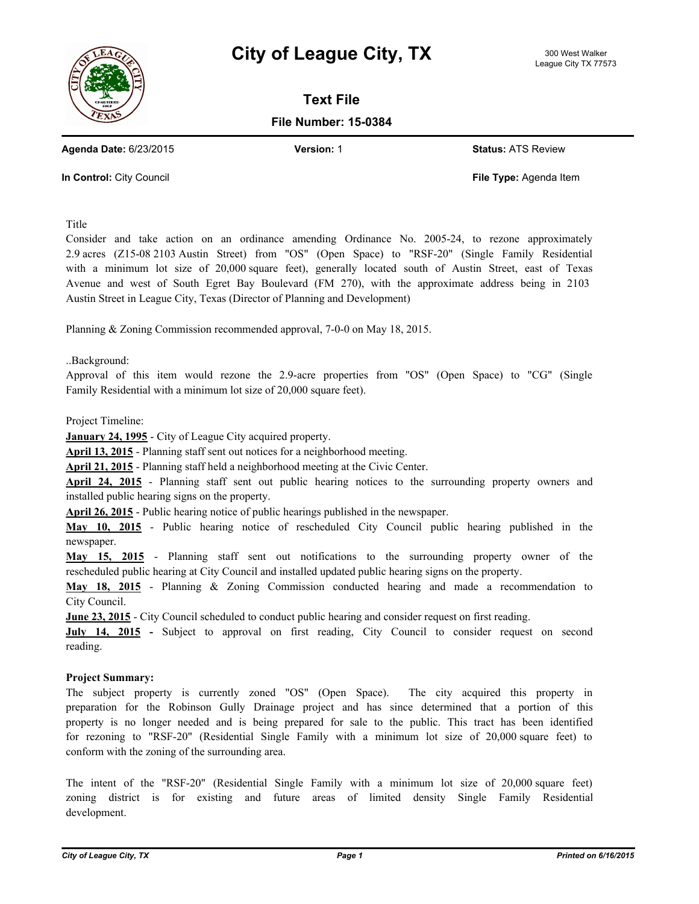



**Text File**

**File Number: 15-0384**

**Agenda Date:** 6/23/2015 **Version:** 1 **Status:** ATS Review

**In Control:** City Council **File Type:** Agenda Item

Title

Consider and take action on an ordinance amending Ordinance No. 2005-24, to rezone approximately 2.9 acres (Z15-08 2103 Austin Street) from "OS" (Open Space) to "RSF-20" (Single Family Residential with a minimum lot size of 20,000 square feet), generally located south of Austin Street, east of Texas Avenue and west of South Egret Bay Boulevard (FM 270), with the approximate address being in 2103 Austin Street in League City, Texas (Director of Planning and Development)

Planning & Zoning Commission recommended approval, 7-0-0 on May 18, 2015.

..Background:

Approval of this item would rezone the 2.9-acre properties from "OS" (Open Space) to "CG" (Single Family Residential with a minimum lot size of 20,000 square feet).

Project Timeline:

**January 24, 1995** - City of League City acquired property.

**April 13, 2015** - Planning staff sent out notices for a neighborhood meeting.

**April 21, 2015** - Planning staff held a neighborhood meeting at the Civic Center.

**April 24, 2015** - Planning staff sent out public hearing notices to the surrounding property owners and installed public hearing signs on the property.

**April 26, 2015** - Public hearing notice of public hearings published in the newspaper.

**May 10, 2015** - Public hearing notice of rescheduled City Council public hearing published in the newspaper.

**May 15, 2015** - Planning staff sent out notifications to the surrounding property owner of the rescheduled public hearing at City Council and installed updated public hearing signs on the property.

**May 18, 2015** - Planning & Zoning Commission conducted hearing and made a recommendation to City Council.

**June 23, 2015** - City Council scheduled to conduct public hearing and consider request on first reading.

**July 14, 2015 -** Subject to approval on first reading, City Council to consider request on second reading.

## **Project Summary:**

The subject property is currently zoned "OS" (Open Space). The city acquired this property in preparation for the Robinson Gully Drainage project and has since determined that a portion of this property is no longer needed and is being prepared for sale to the public. This tract has been identified for rezoning to "RSF-20" (Residential Single Family with a minimum lot size of 20,000 square feet) to conform with the zoning of the surrounding area.

The intent of the "RSF-20" (Residential Single Family with a minimum lot size of 20,000 square feet) zoning district is for existing and future areas of limited density Single Family Residential development.